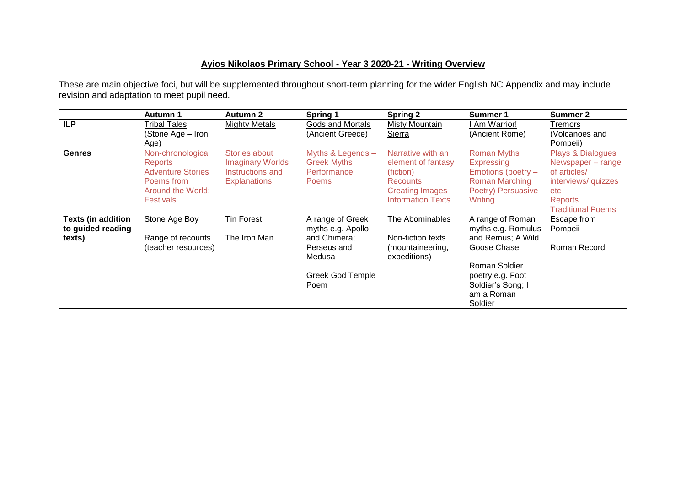## **Ayios Nikolaos Primary School - Year 3 2020-21 - Writing Overview**

These are main objective foci, but will be supplemented throughout short-term planning for the wider English NC Appendix and may include revision and adaptation to meet pupil need.

|                           | <b>Autumn 1</b>          | <b>Autumn 2</b>         | Spring 1           | <b>Spring 2</b>          | Summer 1              | <b>Summer 2</b>          |
|---------------------------|--------------------------|-------------------------|--------------------|--------------------------|-----------------------|--------------------------|
| <b>ILP</b>                | <b>Tribal Tales</b>      | <b>Mighty Metals</b>    | Gods and Mortals   | Misty Mountain           | Am Warrior!           | Tremors                  |
|                           | (Stone Age – Iron        |                         | (Ancient Greece)   | <b>Sierra</b>            | (Ancient Rome)        | (Volcanoes and           |
|                           | Age)                     |                         |                    |                          |                       | Pompeii)                 |
| <b>Genres</b>             | Non-chronological        | Stories about           | Myths & Legends -  | Narrative with an        | <b>Roman Myths</b>    | Plays & Dialogues        |
|                           | <b>Reports</b>           | <b>Imaginary Worlds</b> | <b>Greek Myths</b> | element of fantasy       | Expressing            | Newspaper - range        |
|                           | <b>Adventure Stories</b> | Instructions and        | Performance        | (fiction)                | Emotions (poetry -    | of articles/             |
|                           | Poems from               | <b>Explanations</b>     | <b>Poems</b>       | <b>Recounts</b>          | <b>Roman Marching</b> | interviews/ quizzes      |
|                           | Around the World:        |                         |                    | <b>Creating Images</b>   | Poetry) Persuasive    | etc.                     |
|                           | <b>Festivals</b>         |                         |                    | <b>Information Texts</b> | Writing               | <b>Reports</b>           |
|                           |                          |                         |                    |                          |                       | <b>Traditional Poems</b> |
| <b>Texts (in addition</b> | Stone Age Boy            | <b>Tin Forest</b>       | A range of Greek   | The Abominables          | A range of Roman      | Escape from              |
| to guided reading         |                          |                         | myths e.g. Apollo  |                          | myths e.g. Romulus    | Pompeii                  |
| texts)                    | Range of recounts        | The Iron Man            | and Chimera;       | Non-fiction texts        | and Remus; A Wild     |                          |
|                           | (teacher resources)      |                         | Perseus and        | (mountaineering,         | Goose Chase           | Roman Record             |
|                           |                          |                         | Medusa             | expeditions)             |                       |                          |
|                           |                          |                         |                    |                          | Roman Soldier         |                          |
|                           |                          |                         | Greek God Temple   |                          | poetry e.g. Foot      |                          |
|                           |                          |                         | Poem               |                          | Soldier's Song; I     |                          |
|                           |                          |                         |                    |                          | am a Roman            |                          |
|                           |                          |                         |                    |                          | Soldier               |                          |